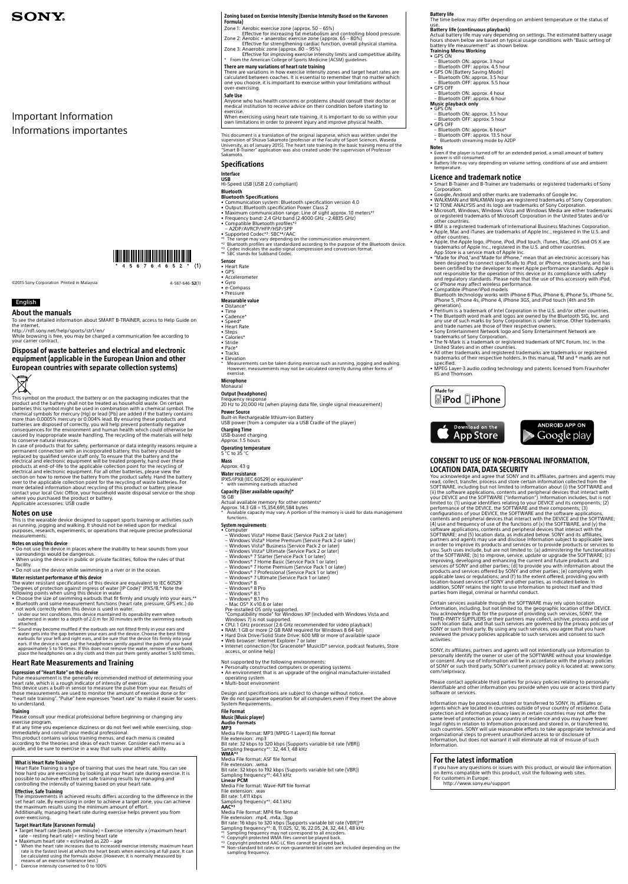## English

About the manuals

To see the detailed information about SMART B-TRAINER, access to Help Guide on the internet. http://rd1.sony.net/help/sports/str1/en/

While browsing is free, you may be charged a communication fee according to your carrier contract.

Disposal of waste batteries and electrical and electronic equipment (applicable in the European Union and other European countries with separate collection systems)



This symbol on the product, the battery or on the packaging indicates that the product and the battery shall not be treated as household waste. On certain batteries this symbol might be used in combination with a chemical symbol. The chemical symbols for mercury (Hg) or lead (Pb) are added if the battery contains more than 0.0005% mercury or 0.004% lead. By ensuring these products and batteries are disposed of correctly, you will help prevent potentially negative consequences for the environment and human health which could otherwise be caused by inappropriate waste handling. The recycling of the materials will help to conserve natural resources.

- • Do not use the device in places where the inability to hear sounds from your surroundings would be dangerous.
- When using the device in public or private facilities, follow the rules of that facility. • Do not use the device while swimming in a river or in the ocean.
- 

In case of products that for safety, performance or data integrity reasons require a permanent connection with an incorporated battery, this battery should be replaced by qualified service staff only. To ensure that the battery and the electrical and electronic equipment will be treated properly, hand over these products at end-of-life to the applicable collection point for the recycling of electrical and electronic equipment. For all other batteries, please view the section on how to remove the battery from the product safely. Hand the battery over to the applicable collection point for the recycling of waste batteries. For more detailed information about recycling of this product or battery, please contact your local Civic Office, your household waste disposal service or the shop where you purchased the product or battery. Applicable accessories: USB cradle

#### Notes on use

This is the wearable device designed to support sports training or activities such as running, jogging and walking. It should not be relied upon for medical purposes, research, experiments, or operations that require precise professional measurements.

#### Notes on using this device

Water resistant performance of this device The water resistant specifications of this device are equivalent to IEC 60529 "Degrees of protection against ingress of water (IP Code)" IPX5/8.\* Note the

- • Target heart rate (beats per minute) = Exercise intensity x (maximum heart rate resting heart rate) + resting heart rate
- • Maximum heart rate = estimated as 220 age
- \* When the heart rate increases due to increased exercise intensity, maximum heart rate is the fastest level at which the heart beats when exercising at full pace. It can be calculated using the formula above. (However, it is normally measured by means of an exercise tolerance test.)
- Exercise intensity converted to 0 to 100%
- following points when using this device in water. • Choose the size of swimming earbuds that fit firmly and snugly into your ears.\*\*
- • Bluetooth and some measurement functions (heart rate, pressure, GPS etc.) do not work correctly when this device is used in water.
- \* Under our test conditions, this device maintained its operability even when submersed in water to a depth of 2.0 m for 30 minutes with the swimming earbuds attached.
- \*\* Sound may become muffled if the earbuds are not fitted firmly in your ears and water gets into the gap between your ears and the device. Choose the best fitting

earbuds for your left and right ears, and be sure that the device fits firmly into your ears. If the device is wet, pat the headphones gently against the palm of your hand approximately 5 to 10 times. If this does not remove the water, remove the earbuds, place the headphones on a dry cloth and then pat them gently another 5 to10 times.

## Heart Rate Measurements and Training

### Expression of "Heart Rate" on this device

Pulse measurement is the generally recommended method of determining your heart rate, which is a rough indicator of intensity of exercise. This device uses a built-in sensor to measure the pulse from your ear. Results of

those measurements are used to monitor the amount of exercise done or for "heart rate training". "Pulse" here expresses "heart rate" to make it easier for users to understand.

#### **Training**

- e-Compass<br>• Pressure
- Measurable value
- Distance® • Time
- Cadence<sup>\*</sup>
- • Speed\* • Heart Rate
- 
- Steps<br>• Calories\*
- 
- • Stride • Pace\*
- Tracks
- Elevation
- \* Measurements can be taken during exercise such as running, jogging and walking. However, measurements may not be calculated correctly during other forms of exercise.
- Microphone

Please consult your medical professional before beginning or changing any exercise program.

Frequency respons 20 Hz to 20,000 Hz (when playing data file, single signal measurement)

**Power Source**<br>Built-in Rechargeable lithium-ion Battery

If at any time you experience dizziness or do not feel well while exercising, stop immediately and consult your medical professional.

This product contains various training menus, and each menu is created according to the theories and ideas of each trainer. Consider each menu as a guide, and be sure to exercise in a way that suits your athletic ability.

Available capacity may vary. A portion of the memory is used for data management functions.

#### What is Heart Rate Training?

Heart Rate Training is a type of training that uses the heart rate. You can see how hard you are exercising by looking at your heart rate during exercise. It is possible to achieve effective yet safe training results by managing and controlling the intensity of training based on your heart rate.

- Computer
- Windows Vista® Home Basic (Service Pack 2 or later)
- Windows Vista® Home Premium (Service Pack 2 or later)
- Windows Vista® Business (Service Pack 2 or later)
- Windows Vista® Ultimate (Service Pack 2 or later)
- Windows® 7 Starter (Service Pack 1 or later)
- Windows® 7 Home Basic (Service Pack 1 or later) Windows® 7 Home Premium (Service Pack 1 or later)
- 
- Windows® 7 Professional (Service Pack 1 or later) Windows® 7 Ultimate (Service Pack 1 or later)
- 
- Windows® 8 Windows® 8 Pro
- 
- Windows® 8.1
- 
- Windows® 8.1 Pro – Mac OS® X v10.6 or later Pre-installed OS only supported.

- • CPU: 1 GHz processor (2.6 GHz recommended for video playback) • RAM: 1 GB or more (2 GB RAM required for Windows 8 64-bit)
- Hard Disk Drive/Solid State Drive: 600 MB or more of available space

Compatibility mode" for Windows XP (included with Windows Vista and

### Effective, Safe Training

The improvements in achieved results differs according to the difference in the set heart rate. By exercising in order to achieve a target zone, you can achieve the maximum results using the minimum amount of effort. Additionally, managing heart rate during exercise helps prevent you from

Design and specifications are subject to change without notice. We do not guarantee operation for all computers even if they meet the above System Requirements.

over-exercising.

## Target Heart Rate (Karvonen Formula)

Media File format: ASF file format File extension: .wma Bit rate: 32 kbps to 192 kbps (Supports variable bit rate (VBR)) Sampling frequency\*1: 44.1 kHz **Linear PCM** Media File format: Wave-Riff file format File extension: .wav Bit rate: 1,411 kbps Sampling frequency\*1: 44.1 kHz **AAC\*3** Media File format: MP4 file format File extension: .mp4, .m4a, .3gp Bit rate: 16 kbps to 320 kbps (Supports variable bit rate (VBR))\*4<br>Sampling frequency\*1: 8, 11.025, 12, 16, 22.05, 24, 32, 44.1, 48 kHz<br>\*1 Sampling frequency may not correspond to all encoders.<br>\*2 Copyright protected WAA f

#### Zoning based on Exercise Intensity (Exercise Intensity Based on the Karvonen Formula)

– Bluetooth ON: approx. 6 hour\* – Bluetooth OFF: approx. 13.5 hour Bluetooth streaming mode by A2DP

- 
- Zone 1: Aerobic exercise zone (approx. 50 65%) Effective for increasing fat metabolism and controlling blood pressure.
- Zone 2: Aerobic + anaerobic exercise zone (approx. 65 80%) Effective for strengthening cardiac function, overall physical stamina. Zone 3: Anaerobic zone (approx. 80 95%)
- Effective for improving exercise intensity limits and competitive ability. \* From the American College of Sports Medicine (ACSM) guidelines

### There are many variations of heart rate training

• WALKMAN and WALKMAN logo are registered trademarks of Sony Corporation.<br>• 12 TONE ANALYSIS and its logo are trademarks of Sony Corporation.<br>• Microsoft, Windows, Windows Vista and Windows Media are either trademarks or registered trademarks of Microsoft Corporation in the United States and/or

There are variations in how exercise intensity zones and target heart rates are calculated between coaches. It is essential to remember that no matter which one you choose, it is important to exercise within your limitations without over-exercising.

#### Safe Use

Anyone who has health concerns or problems should consult their doctor or medical institution to receive advice on their condition before starting to exercise.

When exercising using heart rate training, it is important to do so within your own limitations in order to prevent injury and improve physical health.

This document is a translation of the original Japanese, which was written under the supervision of Shizuo Sakamoto (professor at the Faculty of Sport Sciences, Waseda<br>University, as of January 2015). The heart rate training in the basic training menu of the<br>"Smart B-Trainer" application was also created u Sakamoto.

## Specifications

## Interface

**USB** Hi-Speed USB (USB 2.0 compliant)

#### Bluetooth

- **Bluetooth Specifications** • Communication system: Bluetooth specification version 4.0
- • Output: Bluetooth specification Power Class 2 • Maximum communication range: Line of sight approx. 10 meters\*1
- 
- Frequency band: 2.4 GHz band (2.4000 GHz 2.4835 GHz)<br>• Compatible Bluetooth profiles\*2<br> A2DP/AVRCP/HFP/HSP/SPP<br>• Supported Codec\*3: SBC\*4/AAC
- 
- 
- 
- \*1 The range may vary depending on the communication environment.<br>\*\* Bluetooth profiles are standardized according to the purpose of the Bluetooth device.<br>\*3 Codec indicates the audio signal compression and conversion form
- \*4 SBC stands for Subband Codec.
- Sensor
- 
- Heart Rate<br>• GPS
- • Accelerometer • Gyro

### Monaural

Output (headphones)

USB power (from a computer via a USB Cradle of the player)

Charging Time USB-based charging Approx. 1.5 hours

Operating temperature

5 °C to 35 °C

Mass Approx. 43 g

Water resistance

IPX5/IPX8 (IEC 60529) or equivalent\* \* with swimming earbuds attached

Capacity (User available capacity)\*

- 16 GB
- Actual available memory for other contents\* Approx. 14.3 GB = 15,354,691,584 bytes

### System requirements

If you have any questions or issues with this product, or would like information on items compatible with this product, visit the following web sites. For customers in Eurone:

Windows 7) is not supported.

- • Web browser: Internet Explorer 7 or later
- Internet connection (for Gracenote® MusicID® service, podcast features, Store access, or online help)

Not supported by the following environments:

- • Personally constructed computers or operating systems
- An environment that is an upgrade of the original manufacturer-installed operating system
- 
- • Multi-boot environment

#### File Format

Music (Music player)

#### **Audio Formats**

**MP3**

Media File format: MP3 (MPEG-1 Layer3) file format File extension: .mp3 Bit rate: 32 kbps to 320 kbps (Supports variable bit rate (VBR)) Sampling frequency\*1: 32, 44.1, 48 kHz **WMA\*2**

- 
- 
- sampling frequency.

use. **Battery life (continuous playback)**

Actual battery life may vary depending on settings. The estimated battery usage hours shown below are based on typical usage conditions with "Basic setting of

• Even if the player is turned off for an extended period, a small amount of battery<br>power is still consumed.<br>• Battery life may vary depending on volume setting, conditions of use and ambient<br>temperature.

• Smart B-Trainer and B-Trainer are trademarks or registered trademarks of Sony

battery life measurement" as shown below.

**Training Menu Working** • GPS ON – Bluetooth ON: approx. 3 hour – Bluetooth OFF: approx. 4.5 hour • GPS ON (Battery Saving Mode) – Bluetooth ON: approx. 3.5 hour – Bluetooth OFF: approx. 5.5 hour

• GPS OFF

– Bluetooth ON: approx. 4 hour – Bluetooth OFF: approx. 6 hour **Music playback only**

• GPS ON – Bluetooth ON: approx. 3.5 hour – Bluetooth OFF: approx. 5 hour • GPS OFF

Notes

**Corporation** 

Licence and trademark notice

other countries.

• IBM is a registered trademark of International Business Machines Corporation. • Apple, Mac and iTunes are trademarks of Apple Inc., registered in the U.S. and

other countries.

• Apple, the Apple logo, iPhone, iPod, iPod touch, iTunes, Mac, iOS and OS X are trademarks of Apple Inc., registered in the U.S. and other countries. App Store is a service mark of Apple Inc.

• "Made for iPod,"and"Made for iPhone," mean that an electronic accessory has been designed to connect specifically to iPod, or iPhone, respectively, and has been certified by the developer to meet Apple performance standards. Apple is not responsible for the operation of this device or its compliance with safety and regulatory standards. Please note that the use of this accessory with iPod,

Bluetooth technology works with iPhone 6 Plus, iPhone 6, iPhone 5s, iPhone 5c,<br>iPhone 5, iPhone 4s, iPhone 4, iPhone 3GS, and iPod touch (4th and 5th generation). • Pentium is a trademark of Intel Corporation in the U.S. and/or other countries. • The Bluetooth word mark and logos are owned by the Bluetooth SIG, Inc. and any use of such marks by Sony Corporation is under license. Other trademarks and trade names are those of their respective owners. • Sony Entertainment Network logo and Sony Entertainment Network are trademarks of Sony Corporation. • The N-Mark is a trademark or registered trademark of NFC Forum, Inc. in the

or iPhone may affect wireless performance. • Compatible iPhone/iPod models

United States and in other countries.

**SiPod** DiPhone

• All other trademarks and registered trademarks are trademarks or registered trademarks of their respective holders. In this manual, TM and ® marks are not

• MPEG Layer-3 audio coding technology and patents licensed from Fraunhofer

specified.

Made for

IIS and Thomson.

CONSENT TO USE OF NON-PERSONAL INFORMATION,

LOCATION DATA, DATA SECURITY

Download on the **App Store** 

parties from illegal, criminal or harmful conduct.

You acknowledge and agree that SONY and its affiliates, partners and agents may read, collect, transfer, process and store certain information collected from the SOFTWARE, including but not limited to information about (i) the SOFTWARE and

**ANDROID APP ON** 

Google play

(ii) the software applications, contents and peripheral devices that interact with<br>your DEVICE and the SOFTWARE ("Information"). Information includes, but is not<br>limited to: (1) unique identifiers relating to your DEVICE a

configurations of your DEVICE, the SOFTWARE and the software applications, contents and peripheral devices that interact with the DEVICE and the SOFTWARE; (4) use and frequency of use of the functions of (x) the SOFTWARE, and (y) the software applications, contents and peripheral devices that interact with the SOFTWARE; and (5) location data, as indicated below. SONY and its affiliates, partners and agents may use and disclose Information subject to applicable laws in order to improve its products and services or to provide products or services to you. Such uses include, but are not limited to: (a) administering the functionalities of the SOFTWARE; (b) to improve, service, update or upgrade the SOFTWARE; (c)

improving, developing and enhancing the current and future products and<br>services of SONY and other parties; (d) to provide you with information about the<br>products and services offered by SONY and other parties; (e) complyi

addition, SONY retains the right to use Information to protect itself and third

Certain services available through the SOFTWARE may rely upon location information, including, but not limited to, the geographic location of the DEVICE. You acknowledge that for the purpose of providing such services, SONY, the THIRD-PARTY SUPPLIERS or their partners may collect, archive, process and use

 $\bullet$  Google, Android and other marks are trademarks of Google Inc.

such location data, and that such services are governed by the privacy policies of SONY or such third party. By using any such services, you agree that you have reviewed the privacy policies applicable to such services and consent to such activities.

**Battery life**<br>The time below may differ depending on ambient temperature or the status of

SONY, its affiliates, partners and agents will not intentionally use Information to personally identify the owner or user of the SOFTWARE without your knowledge consent. Any use of Information will be in accordance with the privacy policies of SONY or such third party. SONY's current privacy policy is located at: www.sony. com/selprivacy.

Please contact applicable third parties for privacy policies relating to personally identifiable and other information you provide when you use or access third party software or services.

Information may be processed, stored or transferred to SONY, its affiliates or agents which are located in countries outside of your country of residence. Data protection and information privacy laws in certain countries may not offer the same level of protection as your country of residence and you may have fewer legal rights in relation to Information processed and stored in, or transferred to, such countries. SONY will use reasonable efforts to take appropriate technical and organizational steps to prevent unauthorized access to or disclosure of Information, but does not warrant it will eliminate all risk of misuse of such Information.

## For the latest information

http://www.sony.eu/support

©2015 Sony Corporation Printed in Malaysia 4-567-646-**52**(1)

# **SONY**

Important Information Informations importantes